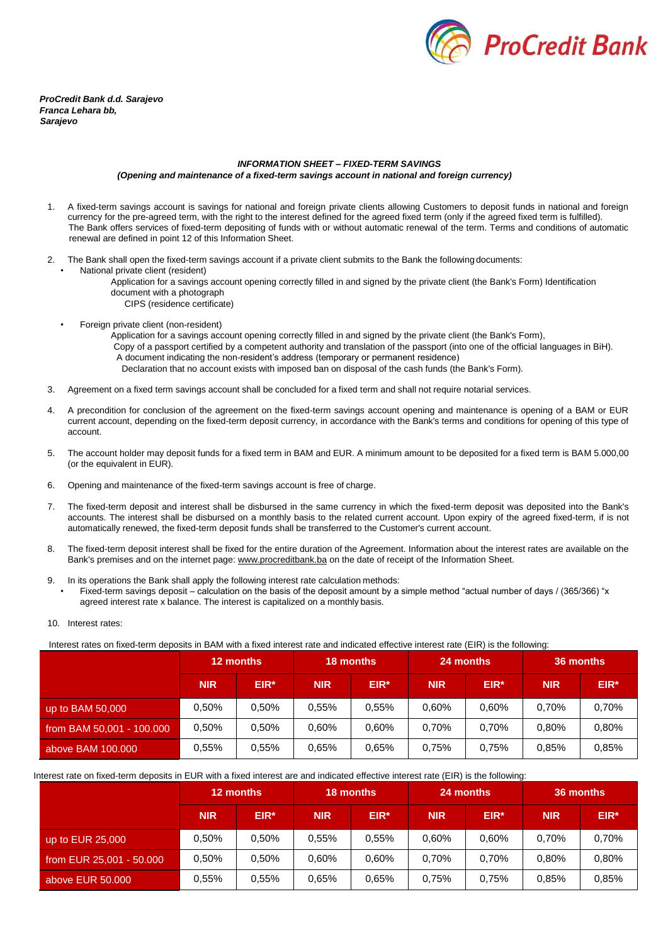

*ProCredit Bank d.d. Sarajevo Franca Lehara bb, Sarajevo*

## *INFORMATION SHEET – FIXED-TERM SAVINGS (Opening and maintenance of a fixed-term savings account in national and foreign currency)*

- 1. A fixed-term savings account is savings for national and foreign private clients allowing Customers to deposit funds in national and foreign currency for the pre-agreed term, with the right to the interest defined for the agreed fixed term (only if the agreed fixed term is fulfilled). The Bank offers services of fixed-term depositing of funds with or without automatic renewal of the term. Terms and conditions of automatic renewal are defined in point 12 of this Information Sheet.
- 2. The Bank shall open the fixed-term savings account if a private client submits to the Bank the followingdocuments:
	- National private client (resident)
		- Application for a savings account opening correctly filled in and signed by the private client (the Bank's Form) Identification document with a photograph
			- CIPS (residence certificate)
	- Foreign private client (non-resident)
		- Application for a savings account opening correctly filled in and signed by the private client (the Bank's Form),
		- Copy of a passport certified by a competent authority and translation of the passport (into one of the official languages in BiH).
			- A document indicating the non-resident's address (temporary or permanent residence) Declaration that no account exists with imposed ban on disposal of the cash funds (the Bank's Form).
- 3. Agreement on a fixed term savings account shall be concluded for a fixed term and shall not require notarial services.
- 4. A precondition for conclusion of the agreement on the fixed-term savings account opening and maintenance is opening of a BAM or EUR current account, depending on the fixed-term deposit currency, in accordance with the Bank's terms and conditions for opening of this type of account.
- 5. The account holder may deposit funds for a fixed term in BAM and EUR. A minimum amount to be deposited for a fixed term is BAM 5.000,00 (or the equivalent in EUR).
- 6. Opening and maintenance of the fixed-term savings account is free of charge.
- 7. The fixed-term deposit and interest shall be disbursed in the same currency in which the fixed-term deposit was deposited into the Bank's accounts. The interest shall be disbursed on a monthly basis to the related current account. Upon expiry of the agreed fixed-term, if is not automatically renewed, the fixed-term deposit funds shall be transferred to the Customer's current account.
- 8. The fixed-term deposit interest shall be fixed for the entire duration of the Agreement. Information about the interest rates are available on the Bank's premises and on the internet page: [www.procreditbank.ba](http://www.procreditbank.ba/) on the date of receipt of the Information Sheet.
- 9. In its operations the Bank shall apply the following interest rate calculation methods:
- Fixed-term savings deposit calculation on the basis of the deposit amount by a simple method "actual number of days / (365/366) "x agreed interest rate x balance. The interest is capitalized on a monthly basis.
- 10. Interest rates:

Interest rates on fixed-term deposits in BAM with a fixed interest rate and indicated effective interest rate (EIR) is the following:

|                           | 12 months  |        | <b>18 months</b> |        | 24 months  |        | 36 months  |          |
|---------------------------|------------|--------|------------------|--------|------------|--------|------------|----------|
|                           | <b>NIR</b> | $EIR*$ | <b>NIR</b>       | $EIR*$ | <b>NIR</b> | $EIR*$ | <b>NIR</b> | $EIR*$   |
| $\mu$ up to BAM 50,000    | $0.50\%$   | 0.50%  | $0.55\%$         | 0.55%  | $0.60\%$   | 0.60%  | 0.70%      | 0,70%    |
| from BAM 50,001 - 100.000 | $0.50\%$   | 0.50%  | 0.60%            | 0.60%  | $0.70\%$   | 0.70%  | 0.80%      | $0.80\%$ |
| above BAM 100,000         | 0.55%      | 0.55%  | 0.65%            | 0.65%  | 0.75%      | 0.75%  | 0,85%      | 0,85%    |

Interest rate on fixed-term deposits in EUR with a fixed interest are and indicated effective interest rate (EIR) is the following:

|                          | 12 months  |        | 18 months  |        | 24 months  |        | 36 months  |        |
|--------------------------|------------|--------|------------|--------|------------|--------|------------|--------|
|                          | <b>NIR</b> | $EIR*$ | <b>NIR</b> | $EIR*$ | <b>NIR</b> | $EIR*$ | <b>NIR</b> | $EIR*$ |
| up to EUR 25,000         | 0.50%      | 0.50%  | $0.55\%$   | 0.55%  | $0.60\%$   | 0.60%  | 0.70%      | 0.70%  |
| from EUR 25,001 - 50,000 | 0.50%      | 0.50%  | $0.60\%$   | 0.60%  | 0,70%      | 0.70%  | 0,80%      | 0.80%  |
| above EUR 50,000         | 0,55%      | 0.55%  | 0.65%      | 0.65%  | 0,75%      | 0.75%  | 0,85%      | 0.85%  |